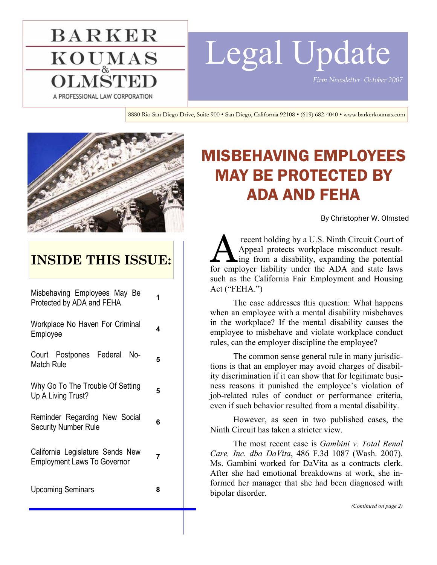# **BARKER**  $\mathbf{KOU}_{\alpha}^{\mathbf{MAS}}$ A PROFESSIONAL LAW CORPORATION

# Legal Update

*Firm Newsletter October 2007* 

8880 Rio San Diego Drive, Suite 900 • San Diego, California 92108 • (619) 682-4040 • www.barkerkoumas.com



## **INSIDE THIS ISSUE:**

| Misbehaving Employees May Be<br>Protected by ADA and FEHA              |   |
|------------------------------------------------------------------------|---|
| Workplace No Haven For Criminal<br>Employee                            | 4 |
| Court Postpones Federal No-<br><b>Match Rule</b>                       | 5 |
| Why Go To The Trouble Of Setting<br>Up A Living Trust?                 | 5 |
| Reminder Regarding New Social<br><b>Security Number Rule</b>           | 6 |
| California Legislature Sends New<br><b>Employment Laws To Governor</b> | 7 |
| <b>Upcoming Seminars</b>                                               | 8 |

## MISBEHAVING EMPLOYEES MAY BE PROTECTED BY ADA AND FEHA

By Christopher W. Olmsted

recent holding by a U.S. Ninth Circuit Court of<br>Appeal protects workplace misconduct result-<br>for employer liability under the ADA and state laws Appeal protects workplace misconduct resulting from a disability, expanding the potential for employer liability under the ADA and state laws such as the California Fair Employment and Housing Act ("FEHA.")

 The case addresses this question: What happens when an employee with a mental disability misbehaves in the workplace? If the mental disability causes the employee to misbehave and violate workplace conduct rules, can the employer discipline the employee?

 The common sense general rule in many jurisdictions is that an employer may avoid charges of disability discrimination if it can show that for legitimate business reasons it punished the employee's violation of job-related rules of conduct or performance criteria, even if such behavior resulted from a mental disability.

 However, as seen in two published cases, the Ninth Circuit has taken a stricter view.

 The most recent case is *Gambini v. Total Renal Care, Inc. dba DaVita*, 486 F.3d 1087 (Wash. 2007). Ms. Gambini worked for DaVita as a contracts clerk. After she had emotional breakdowns at work, she informed her manager that she had been diagnosed with bipolar disorder.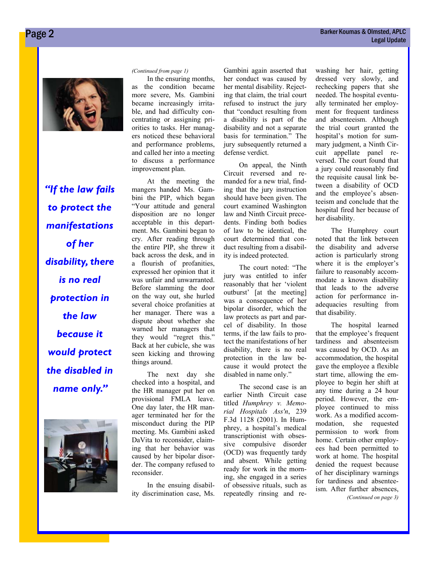

*"If the law fails to protect the manifestations of her disability, there is no real protection in the law because it would protect the disabled in name only."* 



 In the ensuring months, as the condition became more severe, Ms. Gambini became increasingly irritable, and had difficulty concentrating or assigning priorities to tasks. Her managers noticed these behavioral and performance problems, and called her into a meeting to discuss a performance improvement plan.

 At the meeting the mangers handed Ms. Gambini the PIP, which began "Your attitude and general disposition are no longer acceptable in this department. Ms. Gambini began to cry. After reading through the entire PIP, she threw it back across the desk, and in a flourish of profanities, expressed her opinion that it was unfair and unwarranted. Before slamming the door on the way out, she hurled several choice profanities at her manager. There was a dispute about whether she warned her managers that they would "regret this." Back at her cubicle, she was seen kicking and throwing things around.

 The next day she checked into a hospital, and the HR manager put her on provisional FMLA leave. One day later, the HR manager terminated her for the misconduct during the PIP meeting. Ms. Gambini asked DaVita to reconsider, claiming that her behavior was caused by her bipolar disorder. The company refused to reconsider.

 In the ensuing disability discrimination case, Ms.

Gambini again asserted that her conduct was caused by her mental disability. Rejecting that claim, the trial court refused to instruct the jury that "conduct resulting from a disability is part of the disability and not a separate basis for termination." The jury subsequently returned a defense verdict.

 On appeal, the Ninth Circuit reversed and remanded for a new trial, finding that the jury instruction should have been given. The court examined Washington law and Ninth Circuit precedents. Finding both bodies of law to be identical, the court determined that conduct resulting from a disability is indeed protected.

 The court noted: "The jury was entitled to infer reasonably that her 'violent outburst' [at the meeting] was a consequence of her bipolar disorder, which the law protects as part and parcel of disability. In those terms, if the law fails to protect the manifestations of her disability, there is no real protection in the law because it would protect the disabled in name only."

 The second case is an earlier Ninth Circuit case titled *Humphrey v. Memorial Hospitals Ass'n*, 239 F.3d 1128 (2001). In Humphrey, a hospital's medical transcriptionist with obsessive compulsive disorder (OCD) was frequently tardy and absent. While getting ready for work in the morning, she engaged in a series of obsessive rituals, such as repeatedly rinsing and re-

*(Continued from page 1)* washing her hair, getting dressed very slowly, and rechecking papers that she needed. The hospital eventually terminated her employment for frequent tardiness and absenteeism. Although the trial court granted the hospital's motion for summary judgment, a Ninth Circuit appellate panel reversed. The court found that a jury could reasonably find the requisite causal link between a disability of OCD and the employee's absenteeism and conclude that the hospital fired her because of her disability.

> The Humphrey court noted that the link between the disability and adverse action is particularly strong where it is the employer's failure to reasonably accommodate a known disability that leads to the adverse action for performance inadequacies resulting from that disability.

> The hospital learned that the employee's frequent tardiness and absenteeism was caused by OCD. As an accommodation, the hospital gave the employee a flexible start time, allowing the employee to begin her shift at any time during a 24 hour period. However, the employee continued to miss work. As a modified accommodation, she requested permission to work from home. Certain other employees had been permitted to work at home. The hospital denied the request because of her disciplinary warnings for tardiness and absenteeism. After further absences, *(Continued on page 3)*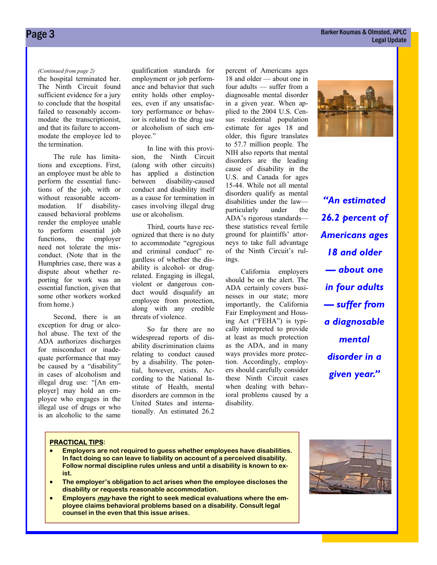the hospital terminated her. The Ninth Circuit found sufficient evidence for a jury to conclude that the hospital failed to reasonably accommodate the transcriptionist, and that its failure to accommodate the employee led to the termination.

 The rule has limitations and exceptions. First, an employee must be able to perform the essential functions of the job, with or without reasonable accommodation. If disabilitycaused behavioral problems render the employee unable to perform essential job functions, the employer need not tolerate the misconduct. (Note that in the Humphries case, there was a dispute about whether reporting for work was an essential function, given that some other workers worked from home.)

 Second, there is an exception for drug or alcohol abuse. The text of the ADA authorizes discharges for misconduct or inadequate performance that may be caused by a "disability" in cases of alcoholism and illegal drug use: "[An employer] may hold an employee who engages in the illegal use of drugs or who is an alcoholic to the same

*(Continued from page 2)* qualification standards for employment or job performance and behavior that such entity holds other employees, even if any unsatisfactory performance or behavior is related to the drug use or alcoholism of such employee."

> In line with this provision, the Ninth Circuit (along with other circuits) has applied a distinction between disability-caused conduct and disability itself as a cause for termination in cases involving illegal drug use or alcoholism.

> Third, courts have recognized that there is no duty to accommodate "egregious and criminal conduct" regardless of whether the disability is alcohol- or drugrelated. Engaging in illegal, violent or dangerous conduct would disqualify an employee from protection, along with any credible threats of violence.

> So far there are no widespread reports of disability discrimination claims relating to conduct caused by a disability. The potential, however, exists. According to the National Institute of Health, mental disorders are common in the United States and internationally. An estimated 26.2

percent of Americans ages 18 and older — about one in four adults — suffer from a diagnosable mental disorder in a given year. When applied to the 2004 U.S. Census residential population estimate for ages 18 and older, this figure translates to 57.7 million people. The NIH also reports that mental disorders are the leading cause of disability in the U.S. and Canada for ages 15-44. While not all mental disorders qualify as mental disabilities under the law particularly under the ADA's rigorous standards these statistics reveal fertile ground for plaintiffs' attorneys to take full advantage of the Ninth Circuit's rulings.

 California employers should be on the alert. The ADA certainly covers businesses in our state; more importantly, the California Fair Employment and Housing Act ("FEHA") is typically interpreted to provide at least as much protection as the ADA, and in many ways provides more protection. Accordingly, employers should carefully consider these Ninth Circuit cases when dealing with behavioral problems caused by a disability.



*"An estimated 26.2 percent of Americans ages 18 and older — about one in four adults — suffer from a diagnosable mental disorder in a given year."* 

#### **PRACTICAL TIPS:**

- **Employers are not required to guess whether employees have disabilities. In fact doing so can leave to liability on account of a perceived disability. Follow normal discipline rules unless and until a disability is known to exist.**
- **The employer's obligation to act arises when the employee discloses the disability or requests reasonable accommodation.**
- **Employers may have the right to seek medical evaluations where the employee claims behavioral problems based on a disability. Consult legal counsel in the even that this issue arises.**

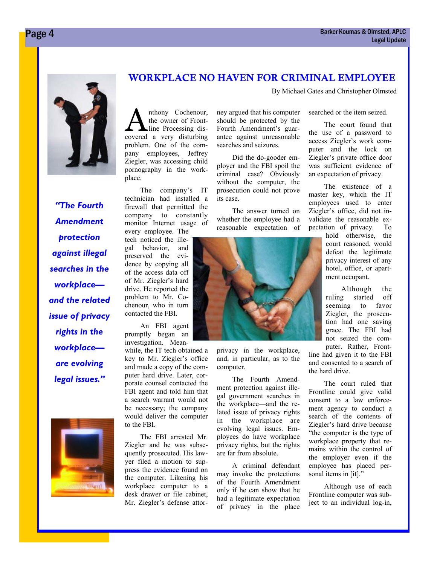

*"The Fourth Amendment protection against illegal searches in the workplace and the related issue of privacy rights in the workplace are evolving legal issues."* 



#### WORKPLACE NO HAVEN FOR CRIMINAL EMPLOYEE

By Michael Gates and Christopher Olmsted

nthony Cochenour, the owner of Frontline Processing discovered a very disturbing problem. One of the company employees, Jeffrey Ziegler, was accessing child pornography in the workplace.

 The company's IT technician had installed a firewall that permitted the company to constantly monitor Internet usage of every employee. The

tech noticed the illegal behavior, and preserved the evidence by copying all of the access data off of Mr. Ziegler's hard drive. He reported the problem to Mr. Cochenour, who in turn contacted the FBI.

 An FBI agent promptly began an investigation. Mean-

while, the IT tech obtained a key to Mr. Ziegler's office and made a copy of the computer hard drive. Later, corporate counsel contacted the FBI agent and told him that a search warrant would not be necessary; the company would deliver the computer to the FBI.

 The FBI arrested Mr. Ziegler and he was subsequently prosecuted. His lawyer filed a motion to suppress the evidence found on the computer. Likening his workplace computer to a desk drawer or file cabinet, Mr. Ziegler's defense attorney argued that his computer should be protected by the Fourth Amendment's guarantee against unreasonable searches and seizures.

 Did the do-gooder employer and the FBI spoil the criminal case? Obviously without the computer, the prosecution could not prove its case.

 The answer turned on whether the employee had a reasonable expectation of



privacy in the workplace, and, in particular, as to the computer.

 The Fourth Amendment protection against illegal government searches in the workplace—and the related issue of privacy rights in the workplace—are evolving legal issues. Employees do have workplace privacy rights, but the rights are far from absolute.

 A criminal defendant may invoke the protections of the Fourth Amendment only if he can show that he had a legitimate expectation of privacy in the place searched or the item seized.

 The court found that the use of a password to access Ziegler's work computer and the lock on Ziegler's private office door was sufficient evidence of an expectation of privacy.

 The existence of a master key, which the IT employees used to enter Ziegler's office, did not invalidate the reasonable expectation of privacy. To

> hold otherwise, the court reasoned, would defeat the legitimate privacy interest of any hotel, office, or apartment occupant.

> Although the ruling started off seeming to favor Ziegler, the prosecution had one saving grace. The FBI had not seized the computer. Rather, Front-

line had given it to the FBI and consented to a search of the hard drive.

 The court ruled that Frontline could give valid consent to a law enforcement agency to conduct a search of the contents of Ziegler's hard drive because "the computer is the type of workplace property that remains within the control of the employer even if the employee has placed personal items in [it]."

 Although use of each Frontline computer was subject to an individual log-in,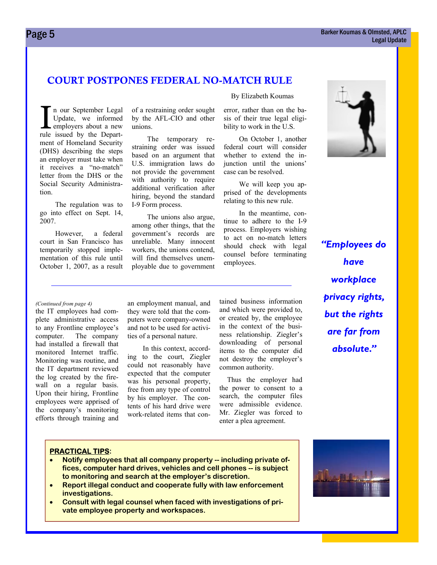#### **Page 5** Barker Koumas & Olmsted, APLC Legal Update

#### COURT POSTPONES FEDERAL NO-MATCH RULE

n our September Legal Update, we informed employers about a new rule issued by the Department of Homeland Security (DHS) describing the steps an employer must take when it receives a "no-match" letter from the DHS or the Social Security Administration.

 The regulation was to go into effect on Sept. 14, 2007.

 However, a federal court in San Francisco has temporarily stopped implementation of this rule until October 1, 2007, as a result of a restraining order sought by the AFL-CIO and other unions.

 The temporary restraining order was issued based on an argument that U.S. immigration laws do not provide the government with authority to require additional verification after hiring, beyond the standard I-9 Form process.

 The unions also argue, among other things, that the government's records are unreliable. Many innocent workers, the unions contend, will find themselves unemployable due to government By Elizabeth Koumas

error, rather than on the basis of their true legal eligibility to work in the U.S.

 On October 1, another federal court will consider whether to extend the injunction until the unions' case can be resolved.

 We will keep you apprised of the developments relating to this new rule.

 In the meantime, continue to adhere to the I-9 process. Employers wishing to act on no-match letters should check with legal counsel before terminating employees.



#### *(Continued from page 4)* an employment manual, and

the IT employees had complete administrative access to any Frontline employee's computer. The company had installed a firewall that monitored Internet traffic. Monitoring was routine, and the IT department reviewed the log created by the firewall on a regular basis. Upon their hiring, Frontline employees were apprised of the company's monitoring efforts through training and they were told that the computers were company-owned and not to be used for activities of a personal nature.

 In this context, according to the court, Ziegler could not reasonably have expected that the computer was his personal property, free from any type of control by his employer. The contents of his hard drive were work-related items that contained business information and which were provided to, or created by, the employee in the context of the business relationship. Ziegler's downloading of personal items to the computer did not destroy the employer's common authority.

 Thus the employer had the power to consent to a search, the computer files were admissible evidence. Mr. Ziegler was forced to enter a plea agreement.

#### **PRACTICAL TIPS:**

- **Notify employees that all company property -- including private offices, computer hard drives, vehicles and cell phones -- is subject to monitoring and search at the employer's discretion.**
- **Report illegal conduct and cooperate fully with law enforcement investigations.**
- **Consult with legal counsel when faced with investigations of private employee property and workspaces.**

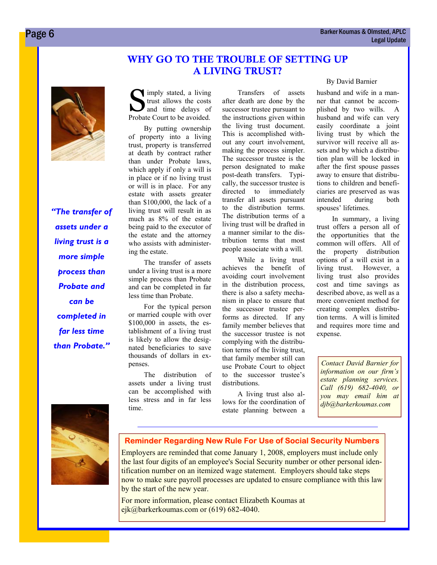#### WHY GO TO THE TROUBLE OF SETTING UP A LIVING TRUST?



*"The transfer of assets under a living trust is a more simple process than Probate and can be completed in far less time than Probate."* 

Simply stated, a living<br>trust allows the costs<br>and time delays of trust allows the costs and time delays of Probate Court to be avoided.

 By putting ownership of property into a living trust, property is transferred at death by contract rather than under Probate laws, which apply if only a will is in place or if no living trust or will is in place. For any estate with assets greater than \$100,000, the lack of a living trust will result in as much as 8% of the estate being paid to the executor of the estate and the attorney who assists with administering the estate.

 The transfer of assets under a living trust is a more simple process than Probate and can be completed in far less time than Probate.

 For the typical person or married couple with over \$100,000 in assets, the establishment of a living trust is likely to allow the designated beneficiaries to save thousands of dollars in expenses.

 The distribution of assets under a living trust can be accomplished with less stress and in far less time.

 Transfers of assets after death are done by the successor trustee pursuant to the instructions given within the living trust document. This is accomplished without any court involvement, making the process simpler. The successor trustee is the person designated to make post-death transfers. Typically, the successor trustee is directed to immediately transfer all assets pursuant to the distribution terms. The distribution terms of a living trust will be drafted in a manner similar to the distribution terms that most people associate with a will.

 While a living trust achieves the benefit of avoiding court involvement in the distribution process, there is also a safety mechanism in place to ensure that the successor trustee performs as directed. If any family member believes that the successor trustee is not complying with the distribution terms of the living trust, that family member still can use Probate Court to object to the successor trustee's distributions.

 A living trust also allows for the coordination of estate planning between a

#### By David Barnier

husband and wife in a manner that cannot be accomplished by two wills. A husband and wife can very easily coordinate a joint living trust by which the survivor will receive all assets and by which a distribution plan will be locked in after the first spouse passes away to ensure that distributions to children and beneficiaries are preserved as was intended during both spouses' lifetimes.

 In summary, a living trust offers a person all of the opportunities that the common will offers. All of the property distribution options of a will exist in a living trust. However, a living trust also provides cost and time savings as described above, as well as a more convenient method for creating complex distribution terms. A will is limited and requires more time and expense.

*Contact David Barnier for information on our firm's estate planning services. Call (619) 682-4040, or you may email him at djb@barkerkoumas.com* 



#### **Reminder Regarding New Rule For Use of Social Security Numbers**

Employers are reminded that come January 1, 2008, employers must include only the last four digits of an employee's Social Security number or other personal identification number on an itemized wage statement. Employers should take steps now to make sure payroll processes are updated to ensure compliance with this law by the start of the new year.

For more information, please contact Elizabeth Koumas at ejk@barkerkoumas.com or (619) 682-4040.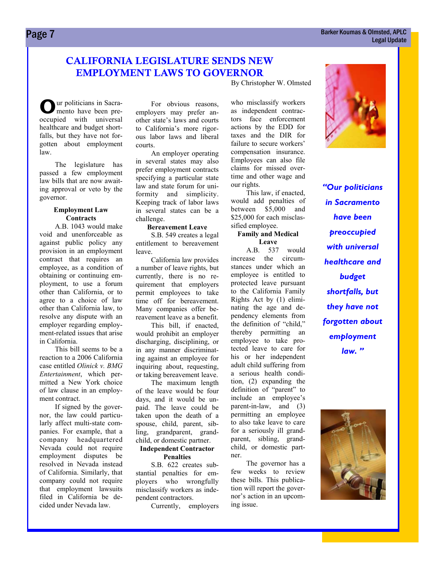#### CALIFORNIA LEGISLATURE SENDS NEW EMPLOYMENT LAWS TO GOVERNOR

By Christopher W. Olmsted

**O** ur politicians in Sacramento have been preoccupied with universal healthcare and budget shortfalls, but they have not forgotten about employment law.

 The legislature has passed a few employment law bills that are now awaiting approval or veto by the governor.

#### **Employment Law Contracts**

 A.B. 1043 would make void and unenforceable as against public policy any provision in an employment contract that requires an employee, as a condition of obtaining or continuing employment, to use a forum other than California, or to agree to a choice of law other than California law, to resolve any dispute with an employer regarding employment-related issues that arise in California.

 This bill seems to be a reaction to a 2006 California case entitled *Olinick v. BMG Entertainment*, which permitted a New York choice of law clause in an employment contract.

 If signed by the governor, the law could particularly affect multi-state companies. For example, that a company headquartered Nevada could not require employment disputes be resolved in Nevada instead of California. Similarly, that company could not require that employment lawsuits filed in California be decided under Nevada law.

 For obvious reasons, employers may prefer another state's laws and courts to California's more rigorous labor laws and liberal courts.

 An employer operating in several states may also prefer employment contracts specifying a particular state law and state forum for uniformity and simplicity. Keeping track of labor laws in several states can be a challenge.

#### **Bereavement Leave**

 S.B. 549 creates a legal entitlement to bereavement leave.

 California law provides a number of leave rights, but currently, there is no requirement that employers permit employees to take time off for bereavement. Many companies offer bereavement leave as a benefit.

 This bill, if enacted, would prohibit an employer discharging, disciplining, or in any manner discriminating against an employee for inquiring about, requesting, or taking bereavement leave.

 The maximum length of the leave would be four days, and it would be unpaid. The leave could be taken upon the death of a spouse, child, parent, sibling, grandparent, grandchild, or domestic partner.

#### **Independent Contractor Penalties**

 S.B. 622 creates substantial penalties for employers who wrongfully misclassify workers as independent contractors.

Currently, employers

who misclassify workers as independent contractors face enforcement actions by the EDD for taxes and the DIR for failure to secure workers' compensation insurance. Employees can also file claims for missed overtime and other wage and our rights.

 This law, if enacted, would add penalties of between \$5,000 and \$25,000 for each misclassified employee.

#### **Family and Medical Leave**

 A.B. 537 would increase the circumstances under which an employee is entitled to protected leave pursuant to the California Family Rights Act by (1) eliminating the age and dependency elements from the definition of "child," thereby permitting an employee to take protected leave to care for his or her independent adult child suffering from a serious health condition, (2) expanding the definition of "parent" to include an employee's parent-in-law, and (3) permitting an employee to also take leave to care for a seriously ill grandparent, sibling, grandchild, or domestic partner.

 The governor has a few weeks to review these bills. This publication will report the governor's action in an upcoming issue.